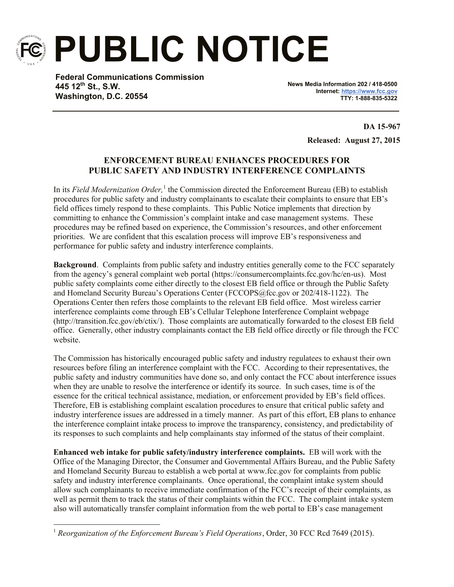

l

**PUBLIC NOTICE**

**Federal Communications Commission 445 12th St., S.W. Washington, D.C. 20554**

**News Media Information 202 / 418-0500 Internet: https://www.fcc.gov TTY: 1-888-835-5322**

> **DA 15-967 Released: August 27, 2015**

## **ENFORCEMENT BUREAU ENHANCES PROCEDURES FOR PUBLIC SAFETY AND INDUSTRY INTERFERENCE COMPLAINTS**

In its *Field Modernization Order*,<sup>1</sup> the Commission directed the Enforcement Bureau (EB) to establish procedures for public safety and industry complainants to escalate their complaints to ensure that EB's field offices timely respond to these complaints. This Public Notice implements that direction by committing to enhance the Commission's complaint intake and case management systems. These procedures may be refined based on experience, the Commission's resources, and other enforcement priorities. We are confident that this escalation process will improve EB's responsiveness and performance for public safety and industry interference complaints.

**Background**. Complaints from public safety and industry entities generally come to the FCC separately from the agency's general complaint web portal (https://consumercomplaints.fcc.gov/hc/en-us). Most public safety complaints come either directly to the closest EB field office or through the Public Safety and Homeland Security Bureau's Operations Center (FCCOPS@fcc.gov or 202/418-1122). The Operations Center then refers those complaints to the relevant EB field office. Most wireless carrier interference complaints come through EB's Cellular Telephone Interference Complaint webpage (http://transition.fcc.gov/eb/ctix/). Those complaints are automatically forwarded to the closest EB field office. Generally, other industry complainants contact the EB field office directly or file through the FCC website.

The Commission has historically encouraged public safety and industry regulatees to exhaust their own resources before filing an interference complaint with the FCC. According to their representatives, the public safety and industry communities have done so, and only contact the FCC about interference issues when they are unable to resolve the interference or identify its source. In such cases, time is of the essence for the critical technical assistance, mediation, or enforcement provided by EB's field offices. Therefore, EB is establishing complaint escalation procedures to ensure that critical public safety and industry interference issues are addressed in a timely manner. As part of this effort, EB plans to enhance the interference complaint intake process to improve the transparency, consistency, and predictability of its responses to such complaints and help complainants stay informed of the status of their complaint.

**Enhanced web intake for public safety/industry interference complaints.** EB will work with the Office of the Managing Director, the Consumer and Governmental Affairs Bureau, and the Public Safety and Homeland Security Bureau to establish a web portal at www.fcc.gov for complaints from public safety and industry interference complainants. Once operational, the complaint intake system should allow such complainants to receive immediate confirmation of the FCC's receipt of their complaints, as well as permit them to track the status of their complaints within the FCC. The complaint intake system also will automatically transfer complaint information from the web portal to EB's case management

<sup>&</sup>lt;sup>1</sup> Reorganization of the Enforcement Bureau's Field Operations, Order, 30 FCC Rcd 7649 (2015).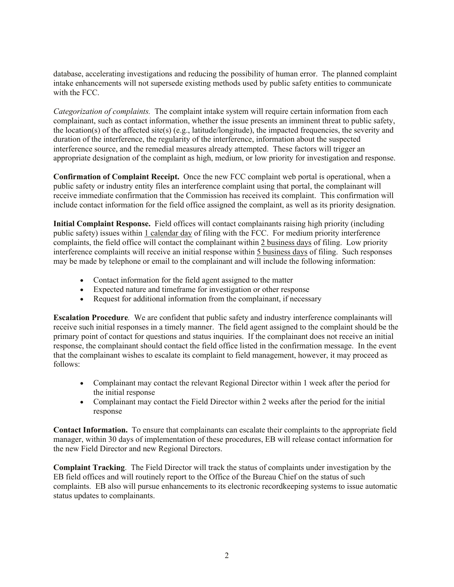database, accelerating investigations and reducing the possibility of human error. The planned complaint intake enhancements will not supersede existing methods used by public safety entities to communicate with the FCC.

*Categorization of complaints.* The complaint intake system will require certain information from each complainant, such as contact information, whether the issue presents an imminent threat to public safety, the location(s) of the affected site(s) (e.g., latitude/longitude), the impacted frequencies, the severity and duration of the interference, the regularity of the interference, information about the suspected interference source, and the remedial measures already attempted. These factors will trigger an appropriate designation of the complaint as high, medium, or low priority for investigation and response.

**Confirmation of Complaint Receipt.** Once the new FCC complaint web portal is operational, when a public safety or industry entity files an interference complaint using that portal, the complainant will receive immediate confirmation that the Commission has received its complaint. This confirmation will include contact information for the field office assigned the complaint, as well as its priority designation.

**Initial Complaint Response.** Field offices will contact complainants raising high priority (including public safety) issues within 1 calendar day of filing with the FCC. For medium priority interference complaints, the field office will contact the complainant within 2 business days of filing. Low priority interference complaints will receive an initial response within 5 business days of filing. Such responses may be made by telephone or email to the complainant and will include the following information:

- Contact information for the field agent assigned to the matter
- Expected nature and timeframe for investigation or other response
- Request for additional information from the complainant, if necessary

**Escalation Procedure***.* We are confident that public safety and industry interference complainants will receive such initial responses in a timely manner. The field agent assigned to the complaint should be the primary point of contact for questions and status inquiries. If the complainant does not receive an initial response, the complainant should contact the field office listed in the confirmation message. In the event that the complainant wishes to escalate its complaint to field management, however, it may proceed as follows:

- Complainant may contact the relevant Regional Director within 1 week after the period for the initial response
- Complainant may contact the Field Director within 2 weeks after the period for the initial response

**Contact Information.** To ensure that complainants can escalate their complaints to the appropriate field manager, within 30 days of implementation of these procedures, EB will release contact information for the new Field Director and new Regional Directors.

**Complaint Tracking**. The Field Director will track the status of complaints under investigation by the EB field offices and will routinely report to the Office of the Bureau Chief on the status of such complaints. EB also will pursue enhancements to its electronic recordkeeping systems to issue automatic status updates to complainants.